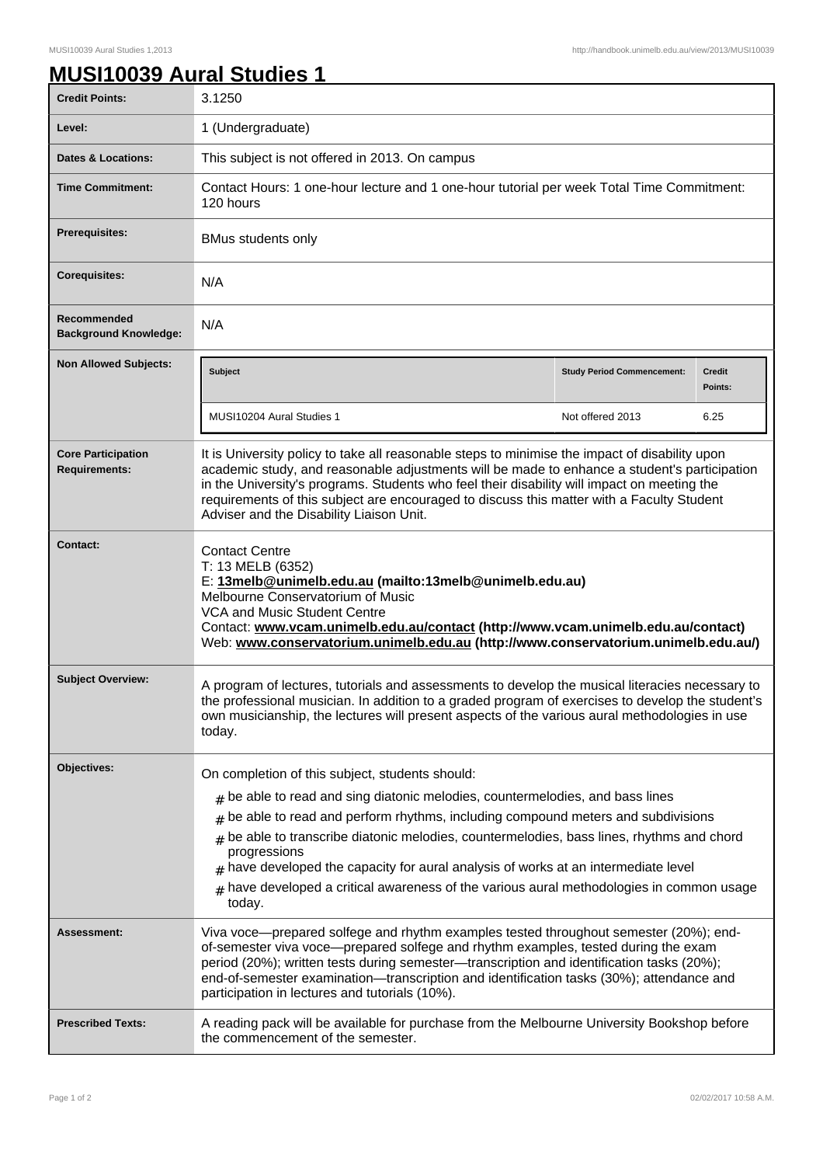## **MUSI10039 Aural Studies 1**

| <b>Credit Points:</b>                             | 3.1250                                                                                                                                                                                                                                                                                                                                                                                                                                                                                                                                       |                                   |                          |
|---------------------------------------------------|----------------------------------------------------------------------------------------------------------------------------------------------------------------------------------------------------------------------------------------------------------------------------------------------------------------------------------------------------------------------------------------------------------------------------------------------------------------------------------------------------------------------------------------------|-----------------------------------|--------------------------|
| Level:                                            | 1 (Undergraduate)                                                                                                                                                                                                                                                                                                                                                                                                                                                                                                                            |                                   |                          |
| <b>Dates &amp; Locations:</b>                     | This subject is not offered in 2013. On campus                                                                                                                                                                                                                                                                                                                                                                                                                                                                                               |                                   |                          |
| <b>Time Commitment:</b>                           | Contact Hours: 1 one-hour lecture and 1 one-hour tutorial per week Total Time Commitment:<br>120 hours                                                                                                                                                                                                                                                                                                                                                                                                                                       |                                   |                          |
| <b>Prerequisites:</b>                             | <b>BMus students only</b>                                                                                                                                                                                                                                                                                                                                                                                                                                                                                                                    |                                   |                          |
| <b>Corequisites:</b>                              | N/A                                                                                                                                                                                                                                                                                                                                                                                                                                                                                                                                          |                                   |                          |
| Recommended<br><b>Background Knowledge:</b>       | N/A                                                                                                                                                                                                                                                                                                                                                                                                                                                                                                                                          |                                   |                          |
| <b>Non Allowed Subjects:</b>                      | <b>Subject</b>                                                                                                                                                                                                                                                                                                                                                                                                                                                                                                                               | <b>Study Period Commencement:</b> | <b>Credit</b><br>Points: |
|                                                   | MUSI10204 Aural Studies 1                                                                                                                                                                                                                                                                                                                                                                                                                                                                                                                    | Not offered 2013                  | 6.25                     |
| <b>Core Participation</b><br><b>Requirements:</b> | It is University policy to take all reasonable steps to minimise the impact of disability upon<br>academic study, and reasonable adjustments will be made to enhance a student's participation<br>in the University's programs. Students who feel their disability will impact on meeting the<br>requirements of this subject are encouraged to discuss this matter with a Faculty Student<br>Adviser and the Disability Liaison Unit.                                                                                                       |                                   |                          |
| Contact:                                          | <b>Contact Centre</b><br>T: 13 MELB (6352)<br>E: 13melb@unimelb.edu.au (mailto:13melb@unimelb.edu.au)<br>Melbourne Conservatorium of Music<br><b>VCA and Music Student Centre</b><br>Contact: www.vcam.unimelb.edu.au/contact (http://www.vcam.unimelb.edu.au/contact)<br>Web: www.conservatorium.unimelb.edu.au (http://www.conservatorium.unimelb.edu.au/)                                                                                                                                                                                 |                                   |                          |
| <b>Subject Overview:</b>                          | A program of lectures, tutorials and assessments to develop the musical literacies necessary to<br>the professional musician. In addition to a graded program of exercises to develop the student's<br>own musicianship, the lectures will present aspects of the various aural methodologies in use<br>today.                                                                                                                                                                                                                               |                                   |                          |
| Objectives:                                       | On completion of this subject, students should:<br>$#$ be able to read and sing diatonic melodies, countermelodies, and bass lines<br>be able to read and perform rhythms, including compound meters and subdivisions<br>#<br>be able to transcribe diatonic melodies, countermelodies, bass lines, rhythms and chord<br>#<br>progressions<br>have developed the capacity for aural analysis of works at an intermediate level<br>#<br>have developed a critical awareness of the various aural methodologies in common usage<br>#<br>today. |                                   |                          |
| Assessment:                                       | Viva voce—prepared solfege and rhythm examples tested throughout semester (20%); end-<br>of-semester viva voce—prepared solfege and rhythm examples, tested during the exam<br>period (20%); written tests during semester—transcription and identification tasks (20%);<br>end-of-semester examination-transcription and identification tasks (30%); attendance and<br>participation in lectures and tutorials (10%).                                                                                                                       |                                   |                          |
| <b>Prescribed Texts:</b>                          | A reading pack will be available for purchase from the Melbourne University Bookshop before<br>the commencement of the semester.                                                                                                                                                                                                                                                                                                                                                                                                             |                                   |                          |